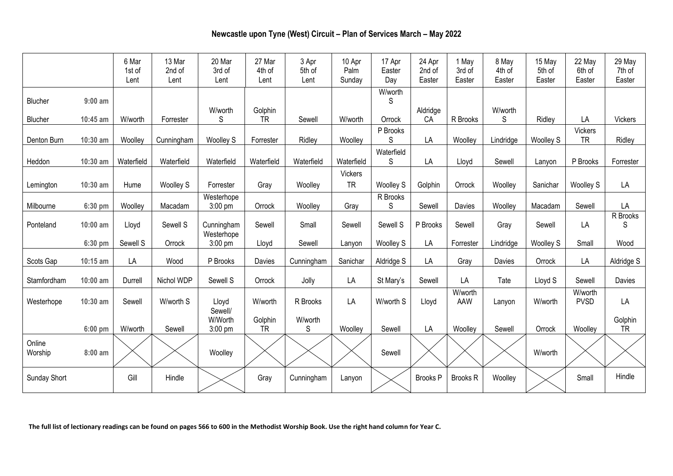# **Newcastle upon Tyne (West) Circuit – Plan of Services March – May 2022**

|                   |            | 6 Mar<br>1st of<br>Lent | 13 Mar<br>2nd of<br>Lent | 20 Mar<br>3rd of<br>Lent | 27 Mar<br>4th of<br>Lent | 3 Apr<br>5th of<br>Lent | 10 Apr<br>Palm<br>Sunday    | 17 Apr<br>Easter<br>Day | 24 Apr<br>2nd of<br>Easter | 1 May<br>3rd of<br>Easter | 8 May<br>4th of<br>Easter | 15 May<br>5th of<br>Easter | 22 May<br>6th of<br>Easter | 29 May<br>7th of<br>Easter |
|-------------------|------------|-------------------------|--------------------------|--------------------------|--------------------------|-------------------------|-----------------------------|-------------------------|----------------------------|---------------------------|---------------------------|----------------------------|----------------------------|----------------------------|
| Blucher           | $9:00$ am  |                         |                          | W/worth                  | Golphin                  |                         |                             | W/worth<br>S            | Aldridge                   |                           | W/worth                   |                            |                            |                            |
| Blucher           | 10:45 am   | W/worth                 | Forrester                | S                        | <b>TR</b>                | Sewell                  | W/worth                     | Orrock                  | CA                         | R Brooks                  | S                         | Ridley                     | LA                         | <b>Vickers</b>             |
| Denton Burn       | 10:30 am   | Woolley                 | Cunningham               | <b>Woolley S</b>         | Forrester                | Ridley                  | Woolley                     | P Brooks<br>S           | LA                         | Woolley                   | Lindridge                 | <b>Woolley S</b>           | Vickers<br><b>TR</b>       | Ridley                     |
| Heddon            | 10:30 am   | Waterfield              | Waterfield               | Waterfield               | Waterfield               | Waterfield              | Waterfield                  | Waterfield<br>S         | LA                         | Lloyd                     | Sewell                    | Lanyon                     | P Brooks                   | Forrester                  |
| Lemington         | 10:30 am   | Hume                    | <b>Woolley S</b>         | Forrester                | Gray                     | Woolley                 | <b>Vickers</b><br><b>TR</b> | <b>Woolley S</b>        | Golphin                    | Orrock                    | Woolley                   | Sanichar                   | <b>Woolley S</b>           | LA                         |
| Milbourne         | 6:30 pm    | Woolley                 | Macadam                  | Westerhope<br>3:00 pm    | Orrock                   | Woolley                 | Gray                        | R Brooks<br>S           | Sewell                     | Davies                    | Woolley                   | Macadam                    | Sewell                     | LA                         |
| Ponteland         | $10:00$ am | Lloyd                   | Sewell S                 | Cunningham<br>Westerhope | Sewell                   | Small                   | Sewell                      | Sewell S                | P Brooks                   | Sewell                    | Gray                      | Sewell                     | LA                         | R Brooks<br>S              |
|                   | 6:30 pm    | Sewell S                | Orrock                   | 3:00 pm                  | Lloyd                    | Sewell                  | Lanyon                      | <b>Woolley S</b>        | LA                         | Forrester                 | Lindridge                 | <b>Woolley S</b>           | Small                      | Wood                       |
| Scots Gap         | 10:15 am   | LA                      | Wood                     | P Brooks                 | Davies                   | Cunningham              | Sanichar                    | Aldridge S              | LA                         | Gray                      | Davies                    | Orrock                     | LA                         | Aldridge S                 |
| Stamfordham       | $10:00$ am | Durrell                 | Nichol WDP               | Sewell S                 | Orrock                   | Jolly                   | LA                          | St Mary's               | Sewell                     | LA                        | Tate                      | Lloyd S                    | Sewell                     | Davies                     |
| Westerhope        | 10:30 am   | Sewell                  | W/worth S                | Lloyd<br>Sewell/         | W/worth                  | R Brooks                | LA                          | W/worth S               | Lloyd                      | W/worth<br>AAW            | Lanyon                    | W/worth                    | W/worth<br><b>PVSD</b>     | LA                         |
|                   | $6:00$ pm  | W/worth                 | Sewell                   | W/Worth<br>3:00 pm       | Golphin<br><b>TR</b>     | W/worth<br>S            | Woolley                     | Sewell                  | LA                         | Woolley                   | Sewell                    | Orrock                     | Woolley                    | Golphin<br><b>TR</b>       |
| Online<br>Worship | 8:00 am    |                         |                          | Woolley                  |                          |                         |                             | Sewell                  |                            |                           |                           | W/worth                    |                            |                            |
| Sunday Short      |            | Gill                    | Hindle                   |                          | Gray                     | Cunningham              | Lanyon                      |                         | Brooks <sub>P</sub>        | <b>Brooks R</b>           | Woolley                   |                            | Small                      | Hindle                     |

**The full list of lectionary readings can be found on pages 566 to 600 in the Methodist Worship Book. Use the right hand column for Year C.**